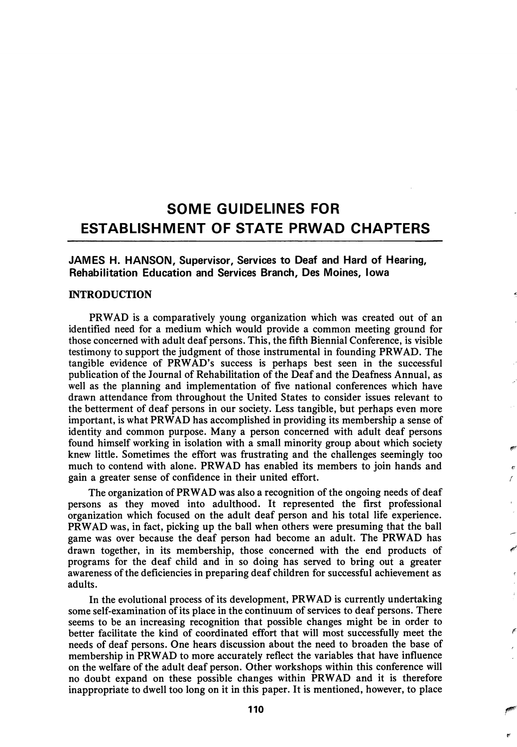# SOME GUIDELINES FOR ESTABLISHMENT OF STATE PRWAD CHAPTERS

JAMES H. HANSON, Supervisor, Services to Deaf and Hard of Hearing, Rehabilitation Education and Services Branch, Des Moines, Iowa

### INTRODUCTION

PRWAD is a comparatively young organization which was created out of an identified need for a medium which would provide a common meeting ground for those concerned with adult deaf persons. This, the fifth Biennial Conference, is visible testimony to support the judgment of those instrumental in founding PRWAD. The tangible evidence of PRWAD's success is perhaps best seen in the successful publication of the Journal of Rehabilitation of the Deaf and the Deafness Annual, as well as the planning and implementation of five national conferences which have drawn attendance from throughout the United States to consider issues relevant to the betterment of deaf persons in our society. Less tangible, but perhaps even more important, is what PRWAD has accomplished in providing its membership a sense of identity and common purpose. Many a person concerned with adult deaf persons found himself working in isolation with a small minority group about which society knew little. Sometimes the effort was frustrating and the challenges seemingly too much to contend with alone. PRWAD has enabled its members to join hands and gain a greater sense of confidence in their united effort.

The organization of PRWAD was also a recognition of the ongoing needs of deaf persons as they moved into adulthood. It represented the first professional organization which focused on the adult deaf person and his total life experience. PRWAD was, in fact, picking up the ball when others were presuming that the ball game was over because the deaf person had become an adult. The PRWAD has drawn together, in its membership, those concerned with the end products of programs for the deaf child and in so doing has served to bring out a greater awareness of the deficiencies in preparing deaf children for successful achievement as adults.

In the evolutional process of its development, PRWAD is currently undertaking some self-examination of its place in the continuum of services to deaf persons. There seems to be an increasing recognition that possible changes might be in order to better facilitate the kind of coordinated effort that will most successfully meet the needs of deaf persons. One hears discussion about the need to broaden the base of membership in PRWAD to more accurately reflect the variables that have influence on the welfare of the adult deaf person. Other workshops within this conference will no doubt expand on these possible changes within PRWAD and it is therefore inappropriate to dwell too long on it in this paper. It is mentioned, however, to place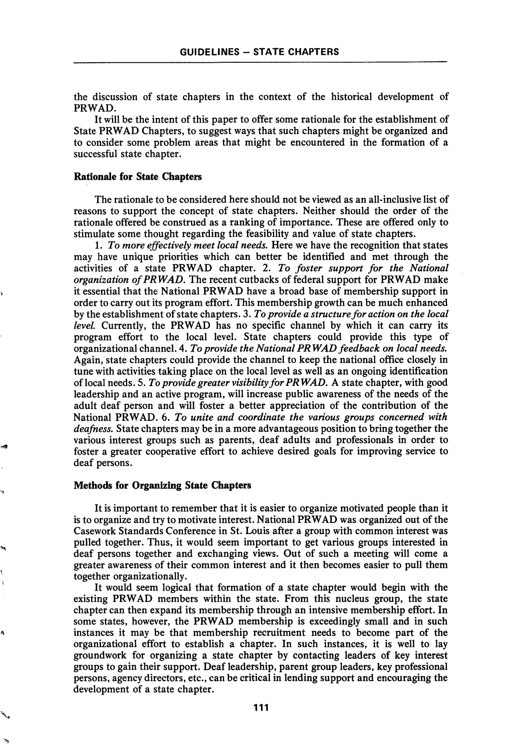the discussion of state chapters in the context of the historical development of PRWAD.

It will be the intent of this paper to offer some rationale for the establishment of State PRWAD Chapters, to suggest ways that such chapters might be organized and to consider some problem areas that might be encountered in the formation of a successful state chapter.

#### Rationale for State Chapters

The rationale to be considered here should not be viewed as an all-inclusive list of reasons to support the concept of state chapters. Neither should the order of the rationale offered be construed as a ranking of importance. These are offered only to stimulate some thought regarding the feasibility and value of state chapters.

1. To more effectively meet local needs. Here we have the recognition that states may have unique priorities which can better be identified and met through the activities of a state PRWAD chapter. 2. To foster support for the National organization of PRWAD. The recent cutbacks of federal support for PRWAD make it essential that the National PRWAD have a broad base of membership support in order to carry out its program effort. This membership growth can be much enhanced by the establishment of state chapters. 3. To provide a structure for action on the local level. Currently, the PRWAD has no specific channel by which it can carry its program effort to the local level. State chapters could provide this type of organizational channel. A, To provide the National PRWAD feedback on local needs. Again, state chapters could provide the channel to keep the national office closely in tune with activities taking place on the local level as well as an ongoing identification of local needs. 5. To provide greater visibility for PRWAD, A state chapter, with good leadership and an active program, will increase public awareness of the needs of the adult deaf person and will foster a better appreciation of the contribution of the National PRWAD. 6. To unite and coordinate the various groups concerned with deafness. State chapters may be in a more advantageous position to bring together the various interest groups such as parents, deaf adults and professionals in order to foster a greater cooperative effort to achieve desired goals for improving service to deaf persons.

### Methods for Organizing State Chapters

It is important to remember that it is easier to organize motivated people than it is to organize and try to motivate interest. National PRWAD was organized out of the Casework Standards Conference in St. Louis after a group with common interest was pulled together. Thus, it would seem important to get various groups interested in deaf persons together and exchanging views. Out of such a meeting will come a greater awareness of their common interest and it then becomes easier to pull them together organizationally.

It would seem logical that formation of a state chapter would begin with the existing PRWAD members within the state. From this nucleus group, the state chapter can then expand its membership through an intensive membership effort. In some states, however, the PRWAD membership is exceedingly small and in such instances it may be that membership recruitment needs to become part of the organizational effort to establish a chapter. In such instances, it is well to lay groundwork for organizing a state chapter by contacting leaders of key interest groups to gain their support. Deaf leadership, parent group leaders, key professional persons, agency directors, etc., can be critical in lending support and encouraging the development of a state chapter.